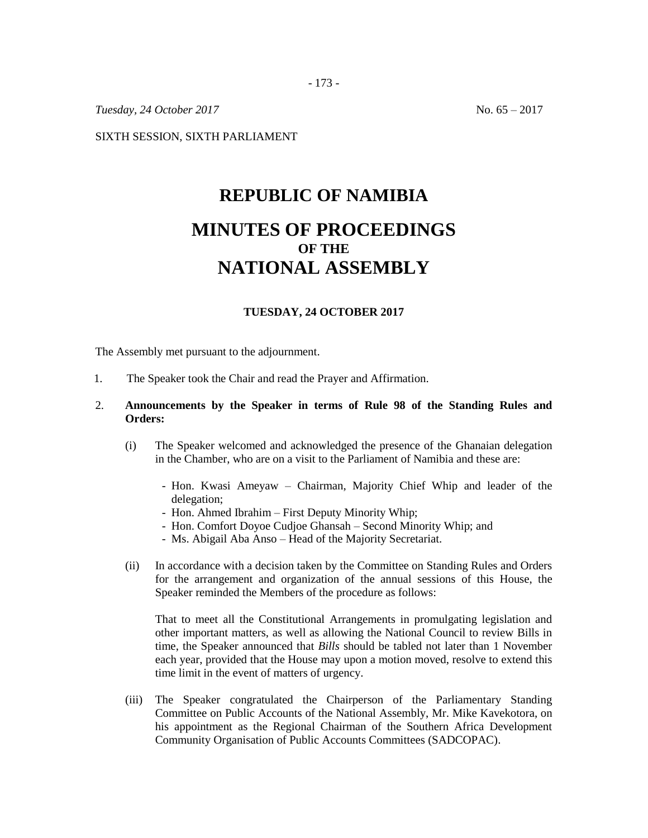- 173 -

*Tuesday, 24 October 2017* No. 65 – 2017

SIXTH SESSION, SIXTH PARLIAMENT

# **REPUBLIC OF NAMIBIA MINUTES OF PROCEEDINGS OF THE NATIONAL ASSEMBLY**

#### **TUESDAY, 24 OCTOBER 2017**

The Assembly met pursuant to the adjournment.

1. The Speaker took the Chair and read the Prayer and Affirmation.

## 2. **Announcements by the Speaker in terms of Rule 98 of the Standing Rules and Orders:**

- (i) The Speaker welcomed and acknowledged the presence of the Ghanaian delegation in the Chamber, who are on a visit to the Parliament of Namibia and these are:
	- Hon. Kwasi Ameyaw Chairman, Majority Chief Whip and leader of the delegation;
	- Hon. Ahmed Ibrahim First Deputy Minority Whip;
	- Hon. Comfort Doyoe Cudjoe Ghansah Second Minority Whip; and
	- Ms. Abigail Aba Anso Head of the Majority Secretariat.
- (ii) In accordance with a decision taken by the Committee on Standing Rules and Orders for the arrangement and organization of the annual sessions of this House, the Speaker reminded the Members of the procedure as follows:

That to meet all the Constitutional Arrangements in promulgating legislation and other important matters, as well as allowing the National Council to review Bills in time, the Speaker announced that *Bills* should be tabled not later than 1 November each year, provided that the House may upon a motion moved, resolve to extend this time limit in the event of matters of urgency.

(iii) The Speaker congratulated the Chairperson of the Parliamentary Standing Committee on Public Accounts of the National Assembly, Mr. Mike Kavekotora, on his appointment as the Regional Chairman of the Southern Africa Development Community Organisation of Public Accounts Committees (SADCOPAC).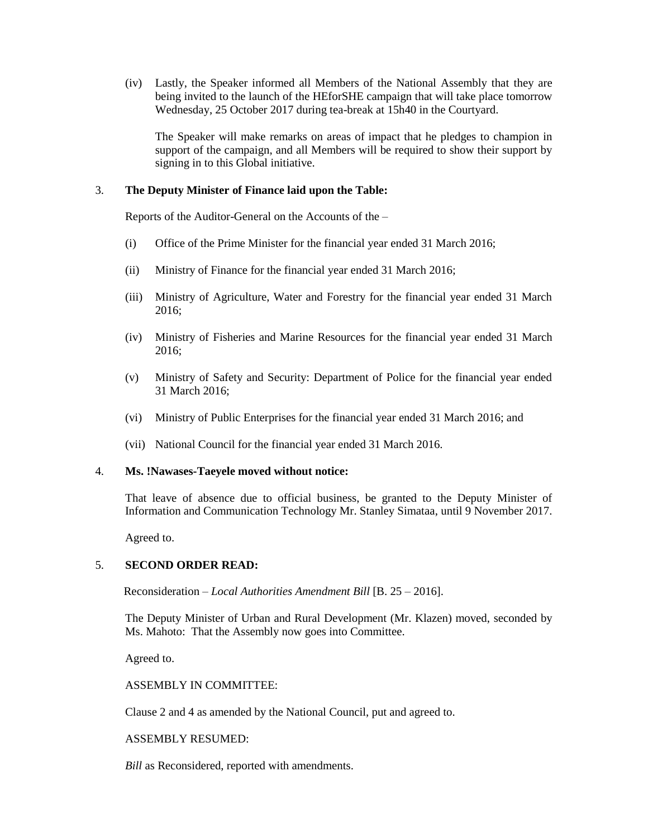(iv) Lastly, the Speaker informed all Members of the National Assembly that they are being invited to the launch of the HEforSHE campaign that will take place tomorrow Wednesday, 25 October 2017 during tea-break at 15h40 in the Courtyard.

The Speaker will make remarks on areas of impact that he pledges to champion in support of the campaign, and all Members will be required to show their support by signing in to this Global initiative.

## 3. **The Deputy Minister of Finance laid upon the Table:**

Reports of the Auditor-General on the Accounts of the –

- (i) Office of the Prime Minister for the financial year ended 31 March 2016;
- (ii) Ministry of Finance for the financial year ended 31 March 2016;
- (iii) Ministry of Agriculture, Water and Forestry for the financial year ended 31 March 2016;
- (iv) Ministry of Fisheries and Marine Resources for the financial year ended 31 March 2016;
- (v) Ministry of Safety and Security: Department of Police for the financial year ended 31 March 2016;
- (vi) Ministry of Public Enterprises for the financial year ended 31 March 2016; and
- (vii) National Council for the financial year ended 31 March 2016.

#### 4. **Ms. !Nawases-Taeyele moved without notice:**

That leave of absence due to official business, be granted to the Deputy Minister of Information and Communication Technology Mr. Stanley Simataa, until 9 November 2017.

Agreed to.

## 5. **SECOND ORDER READ:**

Reconsideration – *Local Authorities Amendment Bill* [B. 25 – 2016].

The Deputy Minister of Urban and Rural Development (Mr. Klazen) moved, seconded by Ms. Mahoto: That the Assembly now goes into Committee.

Agreed to.

ASSEMBLY IN COMMITTEE:

Clause 2 and 4 as amended by the National Council, put and agreed to.

## ASSEMBLY RESUMED:

*Bill* as Reconsidered, reported with amendments.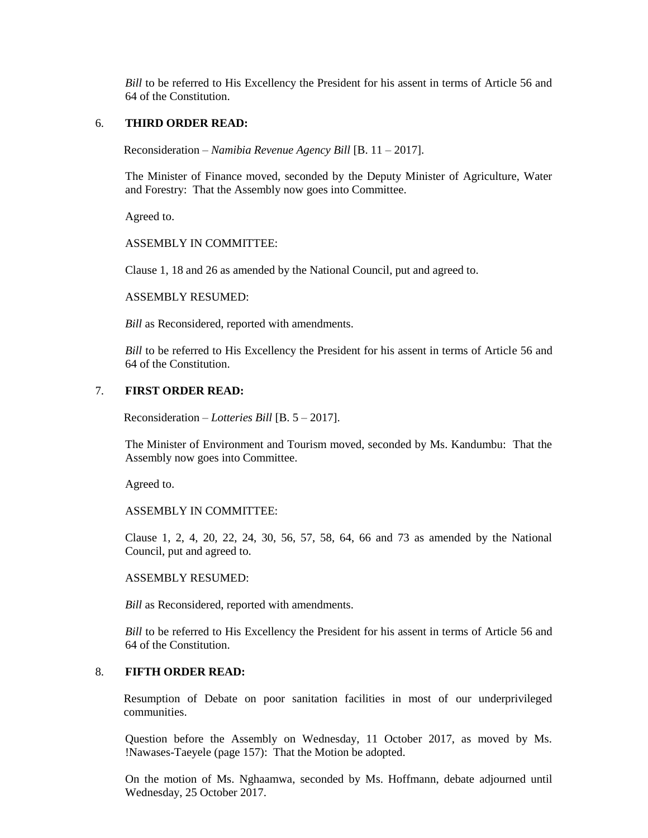*Bill* to be referred to His Excellency the President for his assent in terms of Article 56 and 64 of the Constitution.

## 6. **THIRD ORDER READ:**

Reconsideration – *Namibia Revenue Agency Bill* [B. 11 – 2017].

The Minister of Finance moved, seconded by the Deputy Minister of Agriculture, Water and Forestry: That the Assembly now goes into Committee.

Agreed to.

#### ASSEMBLY IN COMMITTEE:

Clause 1, 18 and 26 as amended by the National Council, put and agreed to.

ASSEMBLY RESUMED:

*Bill* as Reconsidered, reported with amendments.

*Bill* to be referred to His Excellency the President for his assent in terms of Article 56 and 64 of the Constitution.

## 7. **FIRST ORDER READ:**

Reconsideration – *Lotteries Bill* [B. 5 – 2017].

The Minister of Environment and Tourism moved, seconded by Ms. Kandumbu: That the Assembly now goes into Committee.

Agreed to.

#### ASSEMBLY IN COMMITTEE:

Clause 1, 2, 4, 20, 22, 24, 30, 56, 57, 58, 64, 66 and 73 as amended by the National Council, put and agreed to.

#### ASSEMBLY RESUMED:

*Bill* as Reconsidered, reported with amendments.

*Bill* to be referred to His Excellency the President for his assent in terms of Article 56 and 64 of the Constitution.

## 8. **FIFTH ORDER READ:**

Resumption of Debate on poor sanitation facilities in most of our underprivileged communities.

Question before the Assembly on Wednesday, 11 October 2017, as moved by Ms. !Nawases-Taeyele (page 157): That the Motion be adopted.

On the motion of Ms. Nghaamwa, seconded by Ms. Hoffmann, debate adjourned until Wednesday, 25 October 2017.